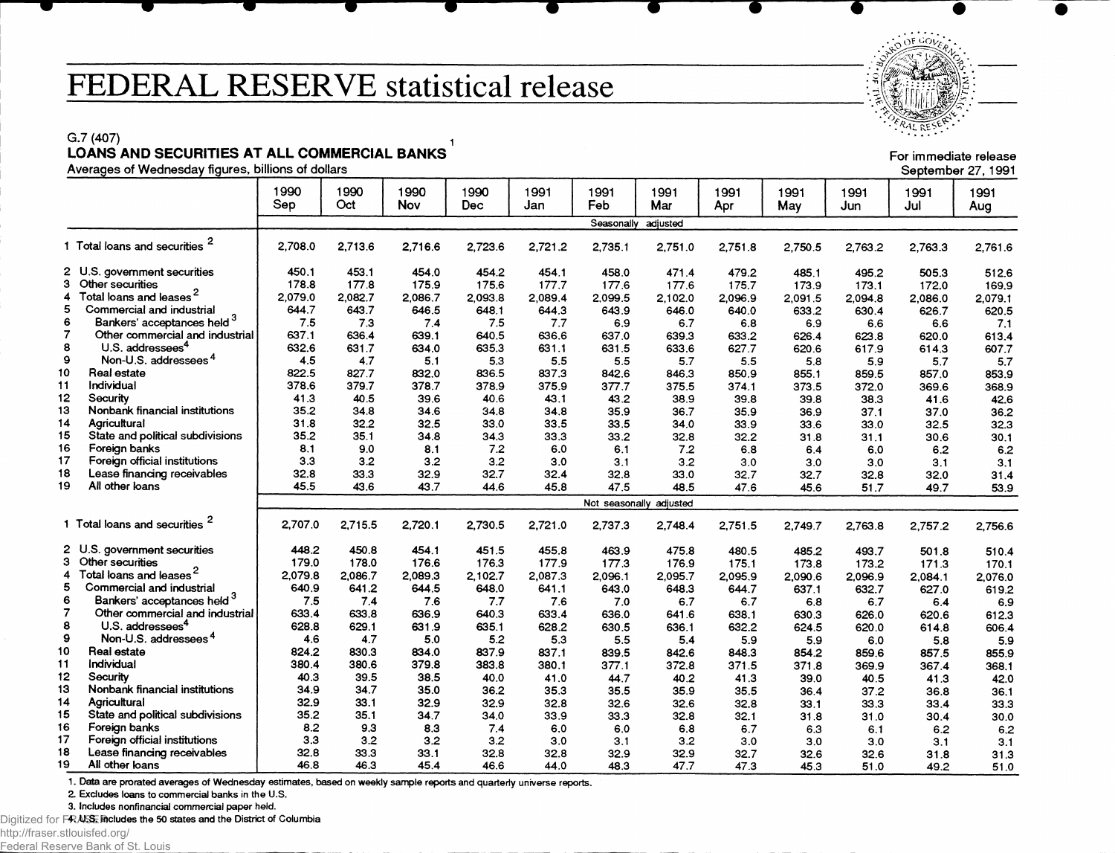## FEDERAL RESERVE statistical release

G.7 (407) 2012 12:00:00 12:00 12:00 12:00 12:00 12:00 12:00 12:00 12:00 12:00 12:00 12:00 12:00 12:00 12:00 12 **LOANS AND SECURITIES AT ALL COMMERCIAL BANKS**

| 1990<br>1990<br>1990<br>1990<br>1991<br>1991<br>1991<br>1991<br>1991<br>1991<br>1991<br>1991<br>Sep<br>Oct<br>Feb<br><b>Nov</b><br>Mar<br><b>Dec</b><br>Jan<br>May<br>Jul<br>Apr<br>Jun<br>Aug<br>Seasonally<br>adjusted<br>1 Total loans and securities<br>2.708.0<br>2,713.6<br>2,716.6<br>2,723.6<br>2,721.2<br>2,735.1<br>2,751.8<br>2,751.0<br>2,750.5<br>2,763.2<br>2,763.3<br>2 U.S. government securities<br>450.1<br>453.1<br>454.0<br>454.2<br>454.1<br>458.0<br>471.4<br>479.2<br>485.1<br>495.2<br>505.3<br>з<br>Other securities<br>178.8<br>177.8<br>175.9<br>175.6<br>177.7<br>177.6<br>177.6<br>175.7<br>173.1<br>173.9<br>172.0<br>Total loans and leases <sup>2</sup><br>2.079.0<br>4<br>2,082.7<br>2.086.7<br>2.093.8<br>2.089.4<br>2.099.5<br>2.102.0<br>2,096.9<br>2,091.5<br>2.094.8<br>2.086.0<br>5<br>Commercial and industrial<br>644.7<br>643.7<br>646.5<br>648.1<br>644.3<br>643.9<br>646.0<br>640.0<br>633.2<br>630.4<br>626.7<br>Bankers' acceptances held 3<br>6<br>7.5<br>7.3<br>7.4<br>7.5<br>6.9<br>6.8<br>7.7<br>6.7<br>6.9<br>6.6<br>6.6<br>7<br>637.1<br>Other commercial and industrial<br>636.4<br>639.1<br>640.5<br>636.6<br>637.0<br>639.3<br>633.2<br>626.4<br>623.8<br>620.0<br>8<br>U.S. addressees <sup>4</sup><br>632.6<br>631.7<br>634.0<br>635.3<br>631.1<br>631.5<br>633.6<br>627.7<br>620.6<br>617.9<br>614.3<br>9<br>Non-U.S. addressees <sup>4</sup><br>4.5<br>4.7<br>5.1<br>5.3<br>5.5<br>5.5<br>5.7<br>5.5<br>5.9<br>5.7<br>5.8<br>Real estate<br>822.5<br>837.3<br>827.7<br>832.0<br>836.5<br>842.6<br>850.9<br>846.3<br>855.1<br>859.5<br>857.0<br>378.6<br>Individual<br>379.7<br>378.7<br>375.9<br>378.9<br>377.7<br>375.5<br>374.1<br>373.5<br>372.0<br>369.6<br>Security<br>41.3<br>40.5<br>39.6<br>40.6<br>43.1<br>43.2<br>38.9<br>39.8<br>39.8<br>38.3<br>41.6<br>35.2<br>Nonbank financial institutions<br>34.8<br>34.6<br>34.8<br>34.8<br>35.9<br>36.7<br>35.9<br>37.1<br>37.0<br>36.9<br>31.8<br>32.5<br>Agricultural<br>32.2<br>33.0<br>33.5<br>33.5<br>34.0<br>33.9<br>33.6<br>33.0<br>32.5<br>15<br>35.2<br>State and political subdivisions<br>35.1<br>34.8<br>34.3<br>33.3<br>33.2<br>32.8<br>32.2<br>30.1<br>31.8<br>31.1<br>30.6<br>8.1<br>Foreign banks<br>7.2<br>9.0<br>8.1<br>6.0<br>6.1<br>7.2<br>6.8<br>6.0<br>6.2<br>6.4<br>3.3<br>Foreign official institutions<br>3.2<br>3.2<br>3.2<br>3.0<br>3.2<br>3.1<br>3.0<br>3.0<br>3.0<br>3.1<br>18<br>32.8<br>Lease financing receivables<br>33.3<br>32.9<br>32.7<br>32.4<br>32.8<br>33.0<br>32.7<br>32.7<br>32.8<br>32.0<br>45.5<br>All other loans<br>43.6<br>43.7<br>44.6<br>45.8<br>47.5<br>48.5<br>47.6<br>45.6<br>51.7<br>49.7<br>Not seasonally adjusted<br>1 Total loans and securities <sup>2</sup><br>2,707.0<br>2,715.5<br>2,720.1<br>2.730.5<br>2,721.0<br>2,748.4<br>2,737.3<br>2,751.5<br>2,749.7<br>2,757.2<br>2,763.8<br>2 U.S. government securities<br>448.2<br>450.8<br>454.1<br>455.8<br>451.5<br>475.8<br>463.9<br>480.5<br>485.2<br>493.7<br>501.8<br>3<br>Other securities<br>179.0<br>178.0<br>176.6<br>176.3<br>177.9<br>177.3<br>176.9<br>175.1<br>173.8<br>173.2<br>171.3<br>Total loans and leases <sup>2</sup><br>2.079.8<br>4<br>2.089.3<br>2,086.7<br>2.102.7<br>2,087.3<br>2,095.7<br>2,096.1<br>2,095.9<br>2,090.6<br>2.096.9<br>2.084.1<br>5<br>Commercial and industrial<br>640.9<br>641.2<br>644.5<br>648.0<br>641.1<br>643.0<br>648.3<br>644.7<br>637.1<br>632.7<br>627.0<br>Bankers' acceptances held 3<br>6<br>7.5<br>7.4<br>7.6<br>7.7<br>7.6<br>6.7<br>6.7<br>6.7<br>7.0<br>6.8<br>6.4<br>$\overline{7}$<br>633.4<br>Other commercial and industrial<br>633.8<br>636.9<br>633.4<br>640.3<br>636.0<br>641.6<br>638.1<br>626.0<br>630.3<br>620.6<br>8<br>U.S. addressees <sup>4</sup><br>628.8<br>629.1<br>631.9<br>635.1<br>628.2<br>632.2<br>630.5<br>636.1<br>624.5<br>620.0<br>614.8<br>9<br>Non-U.S. addressees <sup>4</sup><br>4.6<br>4.7<br>5.0<br>5.2<br>5.3<br>5.5<br>5.4<br>5.9<br>5.9<br>6.0<br>5.8<br>824.2<br>Real estate<br>830.3<br>834.0<br>837.9<br>837.1<br>839.5<br>842.6<br>848.3<br>854.2<br>859.6<br>857.5 |    | ------------- |       |       |       |       |       |       |       |       |       |       |       | 00 pionino : 27, 100 i |
|------------------------------------------------------------------------------------------------------------------------------------------------------------------------------------------------------------------------------------------------------------------------------------------------------------------------------------------------------------------------------------------------------------------------------------------------------------------------------------------------------------------------------------------------------------------------------------------------------------------------------------------------------------------------------------------------------------------------------------------------------------------------------------------------------------------------------------------------------------------------------------------------------------------------------------------------------------------------------------------------------------------------------------------------------------------------------------------------------------------------------------------------------------------------------------------------------------------------------------------------------------------------------------------------------------------------------------------------------------------------------------------------------------------------------------------------------------------------------------------------------------------------------------------------------------------------------------------------------------------------------------------------------------------------------------------------------------------------------------------------------------------------------------------------------------------------------------------------------------------------------------------------------------------------------------------------------------------------------------------------------------------------------------------------------------------------------------------------------------------------------------------------------------------------------------------------------------------------------------------------------------------------------------------------------------------------------------------------------------------------------------------------------------------------------------------------------------------------------------------------------------------------------------------------------------------------------------------------------------------------------------------------------------------------------------------------------------------------------------------------------------------------------------------------------------------------------------------------------------------------------------------------------------------------------------------------------------------------------------------------------------------------------------------------------------------------------------------------------------------------------------------------------------------------------------------------------------------------------------------------------------------------------------------------------------------------------------------------------------------------------------------------------------------------------------------------------------------------------------------------------------------------------------------------------------------------------------------------------------------------------------------------------------------------------------------------------------------------------------------------------------------------------------------------------------------------------------------------------------------------------------------------------------------------------------------------------------------------------------------------------------------------------------------------------------------------------------------------|----|---------------|-------|-------|-------|-------|-------|-------|-------|-------|-------|-------|-------|------------------------|
|                                                                                                                                                                                                                                                                                                                                                                                                                                                                                                                                                                                                                                                                                                                                                                                                                                                                                                                                                                                                                                                                                                                                                                                                                                                                                                                                                                                                                                                                                                                                                                                                                                                                                                                                                                                                                                                                                                                                                                                                                                                                                                                                                                                                                                                                                                                                                                                                                                                                                                                                                                                                                                                                                                                                                                                                                                                                                                                                                                                                                                                                                                                                                                                                                                                                                                                                                                                                                                                                                                                                                                                                                                                                                                                                                                                                                                                                                                                                                                                                                                                                                                |    |               |       |       |       |       |       |       |       |       |       |       |       |                        |
|                                                                                                                                                                                                                                                                                                                                                                                                                                                                                                                                                                                                                                                                                                                                                                                                                                                                                                                                                                                                                                                                                                                                                                                                                                                                                                                                                                                                                                                                                                                                                                                                                                                                                                                                                                                                                                                                                                                                                                                                                                                                                                                                                                                                                                                                                                                                                                                                                                                                                                                                                                                                                                                                                                                                                                                                                                                                                                                                                                                                                                                                                                                                                                                                                                                                                                                                                                                                                                                                                                                                                                                                                                                                                                                                                                                                                                                                                                                                                                                                                                                                                                |    |               |       |       |       |       |       |       |       |       |       |       |       |                        |
|                                                                                                                                                                                                                                                                                                                                                                                                                                                                                                                                                                                                                                                                                                                                                                                                                                                                                                                                                                                                                                                                                                                                                                                                                                                                                                                                                                                                                                                                                                                                                                                                                                                                                                                                                                                                                                                                                                                                                                                                                                                                                                                                                                                                                                                                                                                                                                                                                                                                                                                                                                                                                                                                                                                                                                                                                                                                                                                                                                                                                                                                                                                                                                                                                                                                                                                                                                                                                                                                                                                                                                                                                                                                                                                                                                                                                                                                                                                                                                                                                                                                                                |    |               |       |       |       |       |       |       |       |       |       |       |       | 2,761.6                |
|                                                                                                                                                                                                                                                                                                                                                                                                                                                                                                                                                                                                                                                                                                                                                                                                                                                                                                                                                                                                                                                                                                                                                                                                                                                                                                                                                                                                                                                                                                                                                                                                                                                                                                                                                                                                                                                                                                                                                                                                                                                                                                                                                                                                                                                                                                                                                                                                                                                                                                                                                                                                                                                                                                                                                                                                                                                                                                                                                                                                                                                                                                                                                                                                                                                                                                                                                                                                                                                                                                                                                                                                                                                                                                                                                                                                                                                                                                                                                                                                                                                                                                |    |               |       |       |       |       |       |       |       |       |       |       |       | 512.6                  |
| 19                                                                                                                                                                                                                                                                                                                                                                                                                                                                                                                                                                                                                                                                                                                                                                                                                                                                                                                                                                                                                                                                                                                                                                                                                                                                                                                                                                                                                                                                                                                                                                                                                                                                                                                                                                                                                                                                                                                                                                                                                                                                                                                                                                                                                                                                                                                                                                                                                                                                                                                                                                                                                                                                                                                                                                                                                                                                                                                                                                                                                                                                                                                                                                                                                                                                                                                                                                                                                                                                                                                                                                                                                                                                                                                                                                                                                                                                                                                                                                                                                                                                                             |    |               |       |       |       |       |       |       |       |       |       |       |       | 169.9                  |
|                                                                                                                                                                                                                                                                                                                                                                                                                                                                                                                                                                                                                                                                                                                                                                                                                                                                                                                                                                                                                                                                                                                                                                                                                                                                                                                                                                                                                                                                                                                                                                                                                                                                                                                                                                                                                                                                                                                                                                                                                                                                                                                                                                                                                                                                                                                                                                                                                                                                                                                                                                                                                                                                                                                                                                                                                                                                                                                                                                                                                                                                                                                                                                                                                                                                                                                                                                                                                                                                                                                                                                                                                                                                                                                                                                                                                                                                                                                                                                                                                                                                                                |    |               |       |       |       |       |       |       |       |       |       |       |       | 2,079.1                |
|                                                                                                                                                                                                                                                                                                                                                                                                                                                                                                                                                                                                                                                                                                                                                                                                                                                                                                                                                                                                                                                                                                                                                                                                                                                                                                                                                                                                                                                                                                                                                                                                                                                                                                                                                                                                                                                                                                                                                                                                                                                                                                                                                                                                                                                                                                                                                                                                                                                                                                                                                                                                                                                                                                                                                                                                                                                                                                                                                                                                                                                                                                                                                                                                                                                                                                                                                                                                                                                                                                                                                                                                                                                                                                                                                                                                                                                                                                                                                                                                                                                                                                |    |               |       |       |       |       |       |       |       |       |       |       |       | 620.5                  |
|                                                                                                                                                                                                                                                                                                                                                                                                                                                                                                                                                                                                                                                                                                                                                                                                                                                                                                                                                                                                                                                                                                                                                                                                                                                                                                                                                                                                                                                                                                                                                                                                                                                                                                                                                                                                                                                                                                                                                                                                                                                                                                                                                                                                                                                                                                                                                                                                                                                                                                                                                                                                                                                                                                                                                                                                                                                                                                                                                                                                                                                                                                                                                                                                                                                                                                                                                                                                                                                                                                                                                                                                                                                                                                                                                                                                                                                                                                                                                                                                                                                                                                |    |               |       |       |       |       |       |       |       |       |       |       |       | 7.1                    |
| 10<br>11<br>12<br>13<br>14<br>16<br>17<br>10                                                                                                                                                                                                                                                                                                                                                                                                                                                                                                                                                                                                                                                                                                                                                                                                                                                                                                                                                                                                                                                                                                                                                                                                                                                                                                                                                                                                                                                                                                                                                                                                                                                                                                                                                                                                                                                                                                                                                                                                                                                                                                                                                                                                                                                                                                                                                                                                                                                                                                                                                                                                                                                                                                                                                                                                                                                                                                                                                                                                                                                                                                                                                                                                                                                                                                                                                                                                                                                                                                                                                                                                                                                                                                                                                                                                                                                                                                                                                                                                                                                   |    |               |       |       |       |       |       |       |       |       |       |       |       | 613.4                  |
|                                                                                                                                                                                                                                                                                                                                                                                                                                                                                                                                                                                                                                                                                                                                                                                                                                                                                                                                                                                                                                                                                                                                                                                                                                                                                                                                                                                                                                                                                                                                                                                                                                                                                                                                                                                                                                                                                                                                                                                                                                                                                                                                                                                                                                                                                                                                                                                                                                                                                                                                                                                                                                                                                                                                                                                                                                                                                                                                                                                                                                                                                                                                                                                                                                                                                                                                                                                                                                                                                                                                                                                                                                                                                                                                                                                                                                                                                                                                                                                                                                                                                                |    |               |       |       |       |       |       |       |       |       |       |       |       | 607.7                  |
|                                                                                                                                                                                                                                                                                                                                                                                                                                                                                                                                                                                                                                                                                                                                                                                                                                                                                                                                                                                                                                                                                                                                                                                                                                                                                                                                                                                                                                                                                                                                                                                                                                                                                                                                                                                                                                                                                                                                                                                                                                                                                                                                                                                                                                                                                                                                                                                                                                                                                                                                                                                                                                                                                                                                                                                                                                                                                                                                                                                                                                                                                                                                                                                                                                                                                                                                                                                                                                                                                                                                                                                                                                                                                                                                                                                                                                                                                                                                                                                                                                                                                                |    |               |       |       |       |       |       |       |       |       |       |       |       | 5.7                    |
|                                                                                                                                                                                                                                                                                                                                                                                                                                                                                                                                                                                                                                                                                                                                                                                                                                                                                                                                                                                                                                                                                                                                                                                                                                                                                                                                                                                                                                                                                                                                                                                                                                                                                                                                                                                                                                                                                                                                                                                                                                                                                                                                                                                                                                                                                                                                                                                                                                                                                                                                                                                                                                                                                                                                                                                                                                                                                                                                                                                                                                                                                                                                                                                                                                                                                                                                                                                                                                                                                                                                                                                                                                                                                                                                                                                                                                                                                                                                                                                                                                                                                                |    |               |       |       |       |       |       |       |       |       |       |       |       | 853.9                  |
|                                                                                                                                                                                                                                                                                                                                                                                                                                                                                                                                                                                                                                                                                                                                                                                                                                                                                                                                                                                                                                                                                                                                                                                                                                                                                                                                                                                                                                                                                                                                                                                                                                                                                                                                                                                                                                                                                                                                                                                                                                                                                                                                                                                                                                                                                                                                                                                                                                                                                                                                                                                                                                                                                                                                                                                                                                                                                                                                                                                                                                                                                                                                                                                                                                                                                                                                                                                                                                                                                                                                                                                                                                                                                                                                                                                                                                                                                                                                                                                                                                                                                                |    |               |       |       |       |       |       |       |       |       |       |       |       | 368.9                  |
|                                                                                                                                                                                                                                                                                                                                                                                                                                                                                                                                                                                                                                                                                                                                                                                                                                                                                                                                                                                                                                                                                                                                                                                                                                                                                                                                                                                                                                                                                                                                                                                                                                                                                                                                                                                                                                                                                                                                                                                                                                                                                                                                                                                                                                                                                                                                                                                                                                                                                                                                                                                                                                                                                                                                                                                                                                                                                                                                                                                                                                                                                                                                                                                                                                                                                                                                                                                                                                                                                                                                                                                                                                                                                                                                                                                                                                                                                                                                                                                                                                                                                                |    |               |       |       |       |       |       |       |       |       |       |       |       | 42.6                   |
|                                                                                                                                                                                                                                                                                                                                                                                                                                                                                                                                                                                                                                                                                                                                                                                                                                                                                                                                                                                                                                                                                                                                                                                                                                                                                                                                                                                                                                                                                                                                                                                                                                                                                                                                                                                                                                                                                                                                                                                                                                                                                                                                                                                                                                                                                                                                                                                                                                                                                                                                                                                                                                                                                                                                                                                                                                                                                                                                                                                                                                                                                                                                                                                                                                                                                                                                                                                                                                                                                                                                                                                                                                                                                                                                                                                                                                                                                                                                                                                                                                                                                                |    |               |       |       |       |       |       |       |       |       |       |       |       | 36.2                   |
|                                                                                                                                                                                                                                                                                                                                                                                                                                                                                                                                                                                                                                                                                                                                                                                                                                                                                                                                                                                                                                                                                                                                                                                                                                                                                                                                                                                                                                                                                                                                                                                                                                                                                                                                                                                                                                                                                                                                                                                                                                                                                                                                                                                                                                                                                                                                                                                                                                                                                                                                                                                                                                                                                                                                                                                                                                                                                                                                                                                                                                                                                                                                                                                                                                                                                                                                                                                                                                                                                                                                                                                                                                                                                                                                                                                                                                                                                                                                                                                                                                                                                                |    |               |       |       |       |       |       |       |       |       |       |       |       | 32.3                   |
|                                                                                                                                                                                                                                                                                                                                                                                                                                                                                                                                                                                                                                                                                                                                                                                                                                                                                                                                                                                                                                                                                                                                                                                                                                                                                                                                                                                                                                                                                                                                                                                                                                                                                                                                                                                                                                                                                                                                                                                                                                                                                                                                                                                                                                                                                                                                                                                                                                                                                                                                                                                                                                                                                                                                                                                                                                                                                                                                                                                                                                                                                                                                                                                                                                                                                                                                                                                                                                                                                                                                                                                                                                                                                                                                                                                                                                                                                                                                                                                                                                                                                                |    |               |       |       |       |       |       |       |       |       |       |       |       |                        |
|                                                                                                                                                                                                                                                                                                                                                                                                                                                                                                                                                                                                                                                                                                                                                                                                                                                                                                                                                                                                                                                                                                                                                                                                                                                                                                                                                                                                                                                                                                                                                                                                                                                                                                                                                                                                                                                                                                                                                                                                                                                                                                                                                                                                                                                                                                                                                                                                                                                                                                                                                                                                                                                                                                                                                                                                                                                                                                                                                                                                                                                                                                                                                                                                                                                                                                                                                                                                                                                                                                                                                                                                                                                                                                                                                                                                                                                                                                                                                                                                                                                                                                |    |               |       |       |       |       |       |       |       |       |       |       |       | 6.2                    |
|                                                                                                                                                                                                                                                                                                                                                                                                                                                                                                                                                                                                                                                                                                                                                                                                                                                                                                                                                                                                                                                                                                                                                                                                                                                                                                                                                                                                                                                                                                                                                                                                                                                                                                                                                                                                                                                                                                                                                                                                                                                                                                                                                                                                                                                                                                                                                                                                                                                                                                                                                                                                                                                                                                                                                                                                                                                                                                                                                                                                                                                                                                                                                                                                                                                                                                                                                                                                                                                                                                                                                                                                                                                                                                                                                                                                                                                                                                                                                                                                                                                                                                |    |               |       |       |       |       |       |       |       |       |       |       |       | 3.1                    |
|                                                                                                                                                                                                                                                                                                                                                                                                                                                                                                                                                                                                                                                                                                                                                                                                                                                                                                                                                                                                                                                                                                                                                                                                                                                                                                                                                                                                                                                                                                                                                                                                                                                                                                                                                                                                                                                                                                                                                                                                                                                                                                                                                                                                                                                                                                                                                                                                                                                                                                                                                                                                                                                                                                                                                                                                                                                                                                                                                                                                                                                                                                                                                                                                                                                                                                                                                                                                                                                                                                                                                                                                                                                                                                                                                                                                                                                                                                                                                                                                                                                                                                |    |               |       |       |       |       |       |       |       |       |       |       |       | 31.4                   |
|                                                                                                                                                                                                                                                                                                                                                                                                                                                                                                                                                                                                                                                                                                                                                                                                                                                                                                                                                                                                                                                                                                                                                                                                                                                                                                                                                                                                                                                                                                                                                                                                                                                                                                                                                                                                                                                                                                                                                                                                                                                                                                                                                                                                                                                                                                                                                                                                                                                                                                                                                                                                                                                                                                                                                                                                                                                                                                                                                                                                                                                                                                                                                                                                                                                                                                                                                                                                                                                                                                                                                                                                                                                                                                                                                                                                                                                                                                                                                                                                                                                                                                |    |               |       |       |       |       |       |       |       |       |       |       |       | 53.9                   |
|                                                                                                                                                                                                                                                                                                                                                                                                                                                                                                                                                                                                                                                                                                                                                                                                                                                                                                                                                                                                                                                                                                                                                                                                                                                                                                                                                                                                                                                                                                                                                                                                                                                                                                                                                                                                                                                                                                                                                                                                                                                                                                                                                                                                                                                                                                                                                                                                                                                                                                                                                                                                                                                                                                                                                                                                                                                                                                                                                                                                                                                                                                                                                                                                                                                                                                                                                                                                                                                                                                                                                                                                                                                                                                                                                                                                                                                                                                                                                                                                                                                                                                |    |               |       |       |       |       |       |       |       |       |       |       |       |                        |
|                                                                                                                                                                                                                                                                                                                                                                                                                                                                                                                                                                                                                                                                                                                                                                                                                                                                                                                                                                                                                                                                                                                                                                                                                                                                                                                                                                                                                                                                                                                                                                                                                                                                                                                                                                                                                                                                                                                                                                                                                                                                                                                                                                                                                                                                                                                                                                                                                                                                                                                                                                                                                                                                                                                                                                                                                                                                                                                                                                                                                                                                                                                                                                                                                                                                                                                                                                                                                                                                                                                                                                                                                                                                                                                                                                                                                                                                                                                                                                                                                                                                                                |    |               |       |       |       |       |       |       |       |       |       |       |       |                        |
|                                                                                                                                                                                                                                                                                                                                                                                                                                                                                                                                                                                                                                                                                                                                                                                                                                                                                                                                                                                                                                                                                                                                                                                                                                                                                                                                                                                                                                                                                                                                                                                                                                                                                                                                                                                                                                                                                                                                                                                                                                                                                                                                                                                                                                                                                                                                                                                                                                                                                                                                                                                                                                                                                                                                                                                                                                                                                                                                                                                                                                                                                                                                                                                                                                                                                                                                                                                                                                                                                                                                                                                                                                                                                                                                                                                                                                                                                                                                                                                                                                                                                                |    |               |       |       |       |       |       |       |       |       |       |       |       | 2,756.6                |
|                                                                                                                                                                                                                                                                                                                                                                                                                                                                                                                                                                                                                                                                                                                                                                                                                                                                                                                                                                                                                                                                                                                                                                                                                                                                                                                                                                                                                                                                                                                                                                                                                                                                                                                                                                                                                                                                                                                                                                                                                                                                                                                                                                                                                                                                                                                                                                                                                                                                                                                                                                                                                                                                                                                                                                                                                                                                                                                                                                                                                                                                                                                                                                                                                                                                                                                                                                                                                                                                                                                                                                                                                                                                                                                                                                                                                                                                                                                                                                                                                                                                                                |    |               |       |       |       |       |       |       |       |       |       |       |       | 510.4                  |
|                                                                                                                                                                                                                                                                                                                                                                                                                                                                                                                                                                                                                                                                                                                                                                                                                                                                                                                                                                                                                                                                                                                                                                                                                                                                                                                                                                                                                                                                                                                                                                                                                                                                                                                                                                                                                                                                                                                                                                                                                                                                                                                                                                                                                                                                                                                                                                                                                                                                                                                                                                                                                                                                                                                                                                                                                                                                                                                                                                                                                                                                                                                                                                                                                                                                                                                                                                                                                                                                                                                                                                                                                                                                                                                                                                                                                                                                                                                                                                                                                                                                                                |    |               |       |       |       |       |       |       |       |       |       |       |       | 170.1                  |
|                                                                                                                                                                                                                                                                                                                                                                                                                                                                                                                                                                                                                                                                                                                                                                                                                                                                                                                                                                                                                                                                                                                                                                                                                                                                                                                                                                                                                                                                                                                                                                                                                                                                                                                                                                                                                                                                                                                                                                                                                                                                                                                                                                                                                                                                                                                                                                                                                                                                                                                                                                                                                                                                                                                                                                                                                                                                                                                                                                                                                                                                                                                                                                                                                                                                                                                                                                                                                                                                                                                                                                                                                                                                                                                                                                                                                                                                                                                                                                                                                                                                                                |    |               |       |       |       |       |       |       |       |       |       |       |       | 2,076.0                |
|                                                                                                                                                                                                                                                                                                                                                                                                                                                                                                                                                                                                                                                                                                                                                                                                                                                                                                                                                                                                                                                                                                                                                                                                                                                                                                                                                                                                                                                                                                                                                                                                                                                                                                                                                                                                                                                                                                                                                                                                                                                                                                                                                                                                                                                                                                                                                                                                                                                                                                                                                                                                                                                                                                                                                                                                                                                                                                                                                                                                                                                                                                                                                                                                                                                                                                                                                                                                                                                                                                                                                                                                                                                                                                                                                                                                                                                                                                                                                                                                                                                                                                |    |               |       |       |       |       |       |       |       |       |       |       |       | 619.2                  |
|                                                                                                                                                                                                                                                                                                                                                                                                                                                                                                                                                                                                                                                                                                                                                                                                                                                                                                                                                                                                                                                                                                                                                                                                                                                                                                                                                                                                                                                                                                                                                                                                                                                                                                                                                                                                                                                                                                                                                                                                                                                                                                                                                                                                                                                                                                                                                                                                                                                                                                                                                                                                                                                                                                                                                                                                                                                                                                                                                                                                                                                                                                                                                                                                                                                                                                                                                                                                                                                                                                                                                                                                                                                                                                                                                                                                                                                                                                                                                                                                                                                                                                |    |               |       |       |       |       |       |       |       |       |       |       |       | 6.9                    |
|                                                                                                                                                                                                                                                                                                                                                                                                                                                                                                                                                                                                                                                                                                                                                                                                                                                                                                                                                                                                                                                                                                                                                                                                                                                                                                                                                                                                                                                                                                                                                                                                                                                                                                                                                                                                                                                                                                                                                                                                                                                                                                                                                                                                                                                                                                                                                                                                                                                                                                                                                                                                                                                                                                                                                                                                                                                                                                                                                                                                                                                                                                                                                                                                                                                                                                                                                                                                                                                                                                                                                                                                                                                                                                                                                                                                                                                                                                                                                                                                                                                                                                |    |               |       |       |       |       |       |       |       |       |       |       |       | 612.3                  |
|                                                                                                                                                                                                                                                                                                                                                                                                                                                                                                                                                                                                                                                                                                                                                                                                                                                                                                                                                                                                                                                                                                                                                                                                                                                                                                                                                                                                                                                                                                                                                                                                                                                                                                                                                                                                                                                                                                                                                                                                                                                                                                                                                                                                                                                                                                                                                                                                                                                                                                                                                                                                                                                                                                                                                                                                                                                                                                                                                                                                                                                                                                                                                                                                                                                                                                                                                                                                                                                                                                                                                                                                                                                                                                                                                                                                                                                                                                                                                                                                                                                                                                |    |               |       |       |       |       |       |       |       |       |       |       |       | 606.4                  |
|                                                                                                                                                                                                                                                                                                                                                                                                                                                                                                                                                                                                                                                                                                                                                                                                                                                                                                                                                                                                                                                                                                                                                                                                                                                                                                                                                                                                                                                                                                                                                                                                                                                                                                                                                                                                                                                                                                                                                                                                                                                                                                                                                                                                                                                                                                                                                                                                                                                                                                                                                                                                                                                                                                                                                                                                                                                                                                                                                                                                                                                                                                                                                                                                                                                                                                                                                                                                                                                                                                                                                                                                                                                                                                                                                                                                                                                                                                                                                                                                                                                                                                |    |               |       |       |       |       |       |       |       |       |       |       |       | 5.9                    |
|                                                                                                                                                                                                                                                                                                                                                                                                                                                                                                                                                                                                                                                                                                                                                                                                                                                                                                                                                                                                                                                                                                                                                                                                                                                                                                                                                                                                                                                                                                                                                                                                                                                                                                                                                                                                                                                                                                                                                                                                                                                                                                                                                                                                                                                                                                                                                                                                                                                                                                                                                                                                                                                                                                                                                                                                                                                                                                                                                                                                                                                                                                                                                                                                                                                                                                                                                                                                                                                                                                                                                                                                                                                                                                                                                                                                                                                                                                                                                                                                                                                                                                |    |               |       |       |       |       |       |       |       |       |       |       |       | 855.9                  |
|                                                                                                                                                                                                                                                                                                                                                                                                                                                                                                                                                                                                                                                                                                                                                                                                                                                                                                                                                                                                                                                                                                                                                                                                                                                                                                                                                                                                                                                                                                                                                                                                                                                                                                                                                                                                                                                                                                                                                                                                                                                                                                                                                                                                                                                                                                                                                                                                                                                                                                                                                                                                                                                                                                                                                                                                                                                                                                                                                                                                                                                                                                                                                                                                                                                                                                                                                                                                                                                                                                                                                                                                                                                                                                                                                                                                                                                                                                                                                                                                                                                                                                | 11 | Individual    | 380.4 | 380.6 | 379.8 | 383.8 | 380.1 | 377.1 | 372.8 | 371.5 | 371.8 | 369.9 | 367.4 | 368.1                  |
| 12<br>40.3<br>Security<br>39.5<br>38.5<br>40.0<br>41.3<br>41.0<br>44.7<br>40.2<br>39.0<br>40.5<br>41.3                                                                                                                                                                                                                                                                                                                                                                                                                                                                                                                                                                                                                                                                                                                                                                                                                                                                                                                                                                                                                                                                                                                                                                                                                                                                                                                                                                                                                                                                                                                                                                                                                                                                                                                                                                                                                                                                                                                                                                                                                                                                                                                                                                                                                                                                                                                                                                                                                                                                                                                                                                                                                                                                                                                                                                                                                                                                                                                                                                                                                                                                                                                                                                                                                                                                                                                                                                                                                                                                                                                                                                                                                                                                                                                                                                                                                                                                                                                                                                                         |    |               |       |       |       |       |       |       |       |       |       |       |       | 42.0                   |
| 13<br>Nonbank financial institutions<br>34.9<br>34.7<br>35.0<br>36.2<br>35.3<br>35.5<br>35.9<br>35.5<br>37.2<br>36.4<br>36.8                                                                                                                                                                                                                                                                                                                                                                                                                                                                                                                                                                                                                                                                                                                                                                                                                                                                                                                                                                                                                                                                                                                                                                                                                                                                                                                                                                                                                                                                                                                                                                                                                                                                                                                                                                                                                                                                                                                                                                                                                                                                                                                                                                                                                                                                                                                                                                                                                                                                                                                                                                                                                                                                                                                                                                                                                                                                                                                                                                                                                                                                                                                                                                                                                                                                                                                                                                                                                                                                                                                                                                                                                                                                                                                                                                                                                                                                                                                                                                   |    |               |       |       |       |       |       |       |       |       |       |       |       | 36.1                   |
| 14<br>32.9<br>33.1<br>Agricultural<br>32.9<br>32.9<br>32.8<br>32.6<br>32.6<br>32.8<br>33.3<br>33.4<br>33.1                                                                                                                                                                                                                                                                                                                                                                                                                                                                                                                                                                                                                                                                                                                                                                                                                                                                                                                                                                                                                                                                                                                                                                                                                                                                                                                                                                                                                                                                                                                                                                                                                                                                                                                                                                                                                                                                                                                                                                                                                                                                                                                                                                                                                                                                                                                                                                                                                                                                                                                                                                                                                                                                                                                                                                                                                                                                                                                                                                                                                                                                                                                                                                                                                                                                                                                                                                                                                                                                                                                                                                                                                                                                                                                                                                                                                                                                                                                                                                                     |    |               |       |       |       |       |       |       |       |       |       |       |       | 33.3                   |
| 15<br>35.2<br>State and political subdivisions<br>35.1<br>34.7<br>34.0<br>33.9<br>32.8<br>33.3<br>32.1<br>30.4<br>31.8<br>31.0                                                                                                                                                                                                                                                                                                                                                                                                                                                                                                                                                                                                                                                                                                                                                                                                                                                                                                                                                                                                                                                                                                                                                                                                                                                                                                                                                                                                                                                                                                                                                                                                                                                                                                                                                                                                                                                                                                                                                                                                                                                                                                                                                                                                                                                                                                                                                                                                                                                                                                                                                                                                                                                                                                                                                                                                                                                                                                                                                                                                                                                                                                                                                                                                                                                                                                                                                                                                                                                                                                                                                                                                                                                                                                                                                                                                                                                                                                                                                                 |    |               |       |       |       |       |       |       |       |       |       |       |       | 30.0                   |
| 16<br>8.2<br>Foreign banks<br>9.3<br>8.3<br>7.4<br>6.0<br>6.0<br>6.8<br>6.7<br>6.3<br>6.1<br>6.2                                                                                                                                                                                                                                                                                                                                                                                                                                                                                                                                                                                                                                                                                                                                                                                                                                                                                                                                                                                                                                                                                                                                                                                                                                                                                                                                                                                                                                                                                                                                                                                                                                                                                                                                                                                                                                                                                                                                                                                                                                                                                                                                                                                                                                                                                                                                                                                                                                                                                                                                                                                                                                                                                                                                                                                                                                                                                                                                                                                                                                                                                                                                                                                                                                                                                                                                                                                                                                                                                                                                                                                                                                                                                                                                                                                                                                                                                                                                                                                               |    |               |       |       |       |       |       |       |       |       |       |       |       | 6.2                    |
| 17<br>Foreign official institutions<br>3.3<br>3.2<br>3.2<br>3.2<br>3.0<br>3.2<br>3.1<br>3.0<br>3.0<br>3.0<br>3.1                                                                                                                                                                                                                                                                                                                                                                                                                                                                                                                                                                                                                                                                                                                                                                                                                                                                                                                                                                                                                                                                                                                                                                                                                                                                                                                                                                                                                                                                                                                                                                                                                                                                                                                                                                                                                                                                                                                                                                                                                                                                                                                                                                                                                                                                                                                                                                                                                                                                                                                                                                                                                                                                                                                                                                                                                                                                                                                                                                                                                                                                                                                                                                                                                                                                                                                                                                                                                                                                                                                                                                                                                                                                                                                                                                                                                                                                                                                                                                               |    |               |       |       |       |       |       |       |       |       |       |       |       | 3.1                    |
| 18<br>Lease financing receivables<br>32.8<br>33.3<br>33.1<br>32.8<br>32.8<br>32.9<br>32.9<br>32.7<br>32.6<br>32.6<br>31.8                                                                                                                                                                                                                                                                                                                                                                                                                                                                                                                                                                                                                                                                                                                                                                                                                                                                                                                                                                                                                                                                                                                                                                                                                                                                                                                                                                                                                                                                                                                                                                                                                                                                                                                                                                                                                                                                                                                                                                                                                                                                                                                                                                                                                                                                                                                                                                                                                                                                                                                                                                                                                                                                                                                                                                                                                                                                                                                                                                                                                                                                                                                                                                                                                                                                                                                                                                                                                                                                                                                                                                                                                                                                                                                                                                                                                                                                                                                                                                      |    |               |       |       |       |       |       |       |       |       |       |       |       | 31.3                   |
| 19<br>46.8<br>All other loans<br>46.3<br>45.4<br>47.7<br>46.6<br>44.0<br>48.3<br>47.3<br>45.3<br>51.0<br>49.2                                                                                                                                                                                                                                                                                                                                                                                                                                                                                                                                                                                                                                                                                                                                                                                                                                                                                                                                                                                                                                                                                                                                                                                                                                                                                                                                                                                                                                                                                                                                                                                                                                                                                                                                                                                                                                                                                                                                                                                                                                                                                                                                                                                                                                                                                                                                                                                                                                                                                                                                                                                                                                                                                                                                                                                                                                                                                                                                                                                                                                                                                                                                                                                                                                                                                                                                                                                                                                                                                                                                                                                                                                                                                                                                                                                                                                                                                                                                                                                  |    |               |       |       |       |       |       |       |       |       |       |       |       | 51.0                   |

1. Data are prorated averages of Wednesday estimates, based on weekly sample reports and quarterly universe reports.

**2 Excludes loans to commercial banks in the U.S.**

**3. includes nonfinancial commercial paper held.**

Digitized for FRASER **4. U.S. includes the 50 states and the District of Columbia**

http://fraser.stlouisfed.org/ Federal Reserve Bank of St. Louis



For immediate release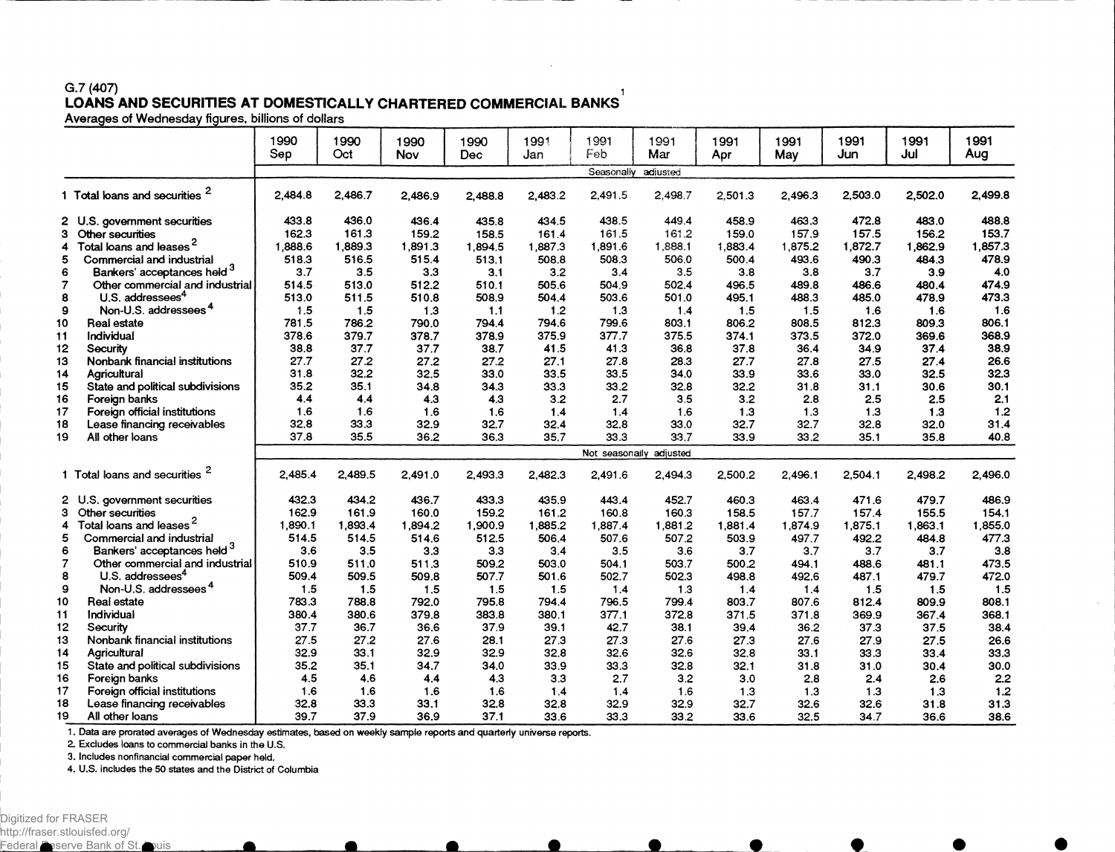## **G.7 (407) i LOANS AND SECURITIES AT DOMESTICALLY CHARTERED COMMERCIAL BANKS**

|                |                                           | 1990<br>Sep | 1990<br>Oct | 1990<br>Nov | 1990<br>Dec | 1991<br>Jan | 1991<br>Feb | 1991<br>Mar             | 1991<br>Apr | 1991<br>May | 1991<br>Jun | 1991<br>Jul | 1991<br>Aug |
|----------------|-------------------------------------------|-------------|-------------|-------------|-------------|-------------|-------------|-------------------------|-------------|-------------|-------------|-------------|-------------|
|                |                                           |             |             |             |             |             | Seasonally  | adiusted                |             |             |             |             |             |
|                | 1 Total loans and securities <sup>2</sup> | 2.484.8     | 2.486.7     | 2,486.9     | 2.488.8     | 2,483.2     | 2,491.5     | 2,498.7                 | 2.501.3     | 2.496.3     | 2.503.0     | 2,502.0     | 2,499.8     |
|                | 2 U.S. government securities              | 433.8       | 436.0       | 436.4       | 435.8       | 434.5       | 438.5       | 449.4                   | 458.9       | 463.3       | 472.8       | 483.0       | 488.8       |
| з              | Other securities                          | 162.3       | 161.3       | 159.2       | 158.5       | 161.4       | 161.5       | 161.2                   | 159.0       | 157.9       | 157.5       | 156.2       | 153.7       |
| 4              | Total loans and leases                    | 1.888.6     | 1,889.3     | 1.891.3     | 1,894.5     | 1.887.3     | 1.891.6     | 1,888.1                 | 1,883.4     | 1,875.2     | 1,872.7     | 1,862.9     | 1,857.3     |
|                | Commercial and industrial                 | 518.3       | 516.5       | 515.4       | 513.1       | 508.8       | 508.3       | 506.0                   | 500.4       | 493.6       | 490.3       | 484.3       | 478.9       |
| 6              | Bankers' acceptances held 3               | 3.7         | 3.5         | 3.3         | 3.1         | 3.2         | 3.4         | 3.5                     | 3.8         | 3.8         | 3.7         | 3.9         | 4.0         |
| 7              | Other commercial and industrial           | 514.5       | 513.0       | 512.2       | 510.1       | 505.6       | 504.9       | 502.4                   | 496.5       | 489.8       | 486.6       | 480.4       | 474.9       |
| 8              | U.S. addressees <sup>4</sup>              | 513.0       | 511.5       | 510.8       | 508.9       | 504.4       | 503.6       | 501.0                   | 495.1       | 488.3       | 485.0       | 478.9       | 473.3       |
| $\mathbf{9}$   | Non-U.S. addressees <sup>4</sup>          | 1.5         | 1.5         | 1.3         | 1.1         | 1.2         | 1.3         | 1.4                     | 1.5         | 1.5         | 1.6         | 1.6         | 1.6         |
| 10             | Real estate                               | 781.5       | 786.2       | 790.0       | 794.4       | 794.6       | 799.6       | 803.1                   | 806.2       | 808.5       | 812.3       | 809.3       | 806.1       |
| 11             | Individual                                | 378.6       | 379.7       | 378.7       | 378.9       | 375.9       | 377.7       | 375.5                   | 374.1       | 373.5       | 372.0       | 369.6       | 368.9       |
| 12             | Security                                  | 38.8        | 37.7        | 37.7        | 38.7        | 41.5        | 41.3        | 36.8                    | 37.8        | 36.4        | 34.9        | 37.4        | 38.9        |
| 13             | Nonbank financial institutions            | 27.7        | 27.2        | 27.2        | 27.2        | 27.1        | 27.8        | 28.3                    | 27.7        | 27.8        | 27.5        | 27.4        | 26.6        |
| 14             | Agricultural                              | 31.8        | 32.2        | 32.5        | 33.0        | 33.5        | 33.5        | 34.0                    | 33.9        | 33.6        | 33.0        | 32.5        | 32.3        |
| 15             | State and political subdivisions          | 35.2        | 35.1        | 34.8        | 34.3        | 33.3        | 33.2        | 32.8                    | 32.2        | 31.8        | 31.1        | 30.6        | 30.1        |
| 16             | Foreign banks                             | 4.4         | 4.4         | 4.3         | 4.3         | 3.2         | 2.7         | 3.5                     | 3.2         | 2.8         | 2.5         | 2.5         | 2.1         |
| 17             | Foreign official institutions             | 1.6         | 1.6         | 1.6         | 1.6         | 1.4         | 1.4         | 1.6                     | 1.3         | 1.3         | 1.3         | 1.3         | 1.2         |
| 18             | Lease financing receivables               | 32.8        | 33.3        | 32.9        | 32.7        | 32.4        | 32.8        | 33.0                    | 32.7        | 32.7        | 32.8        | 32.0        | 31.4        |
| 19             | All other loans                           | 37.8        | 35.5        | 36.2        | 36.3        | 35.7        | 33.3        | 33.7                    | 33.9        | 33.2        | 35.1        | 35.8        | 40.8        |
|                |                                           |             |             |             |             |             |             | Not seasonally adjusted |             |             |             |             |             |
|                | 1 Total loans and securities              | 2,485.4     | 2,489.5     | 2,491.0     | 2.493.3     | 2.482.3     | 2,491.6     | 2,494.3                 | 2.500.2     | 2.496.1     | 2,504.1     | 2.498.2     | 2,496.0     |
|                | 2 U.S. government securities              | 432.3       | 434.2       | 436.7       | 433.3       | 435.9       | 443.4       | 452.7                   | 460.3       | 463.4       | 471.6       | 479.7       | 486.9       |
| з.             | Other securities                          | 162.9       | 161.9       | 160.0       | 159.2       | 161.2       | 160.8       | 160.3                   | 158.5       | 157.7       | 157.4       | 155.5       | 154.1       |
| 4              | Total loans and leases <sup>2</sup>       | 1,890.1     | 1,893.4     | 1.894.2     | 1,900.9     | 1,885.2     | 1,887.4     | 1,881.2                 | 1,881.4     | 1,874.9     | 1,875.1     | 1,863.1     | 1,855.0     |
| 5              | Commercial and industrial                 | 514.5       | 514.5       | 514.6       | 512.5       | 506.4       | 507.6       | 507.2                   | 503.9       | 497.7       | 492.2       | 484.8       | 477.3       |
| 6              | Bankers' acceptances held <sup>3</sup>    | 3.6         | 3.5         | 3.3         | 3.3         | 3.4         | 3.5         | 3.6                     | 3.7         | 3.7         | 3.7         | 3.7         | 3.8         |
| $\overline{7}$ | Other commercial and industrial           | 510.9       | 511.0       | 511.3       | 509.2       | 503.0       | 504.1       | 503.7                   | 500.2       | 494.1       | 488.6       | 481.1       | 473.5       |
| 8              | U.S. addressees <sup>4</sup>              | 509.4       | 509.5       | 509.8       | 507.7       | 501.6       | 502.7       | 502.3                   | 498.8       | 492.6       | 487.1       | 479.7       | 472.0       |
| 9              | Non-U.S. addressees <sup>4</sup>          | 1.5         | 1.5         | 1.5         | 1.5         | 1.5         | 1.4         | 1.3                     | 1.4         | 1.4         | 1.5         | 1.5         | 1.5         |
| 10             | Real estate                               | 783.3       | 788.8       | 792.0       | 795.8       | 794.4       | 796.5       | 799.4                   | 803.7       | 807.6       | 812.4       | 809.9       | 808.1       |
| 11             | Individual                                | 380.4       | 380.6       | 379.8       | 383.8       | 380.1       | 377.1       | 372.8                   | 371.5       | 371.8       | 369.9       | 367.4       | 368.1       |
| 12             | Security                                  | 37.7        | 36.7        | 36.6        | 37.9        | 39.1        | 42.7        | 38.1                    | 39.4        | 36.2        | 37.3        | 37.5        | 38.4        |
| 13             | Nonbank financial institutions            | 27.5        | 27.2        | 27.6        | 28.1        | 27.3        | 27.3        | 27.6                    | 27.3        | 27.6        | 27.9        | 27.5        | 26.6        |
| 14             | Agricultural                              | 32.9        | 33.1        | 32.9        | 32.9        | 32.8        | 32.6        | 32.6                    | 32.8        | 33.1        | 33.3        | 33.4        | 33.3        |
| 15             | State and political subdivisions          | 35.2        | 35.1        | 34.7        | 34.0        | 33.9        | 33.3        | 32.8                    | 32.1        | 31.8        | 31.0        | 30.4        | 30.0        |
| 16             | Foreign banks                             | 4.5         | 4.6         | 4.4         | 4.3         | 3.3         | 2.7         | 3.2                     | 3.0         | 2.8         | 2.4         | 2.6         | 2.2         |
| 17             | Foreign official institutions             | 1.6         | 1.6         | 1.6         | 1.6         | 1.4         | 1.4         | 1.6                     | 1.3         | 1.3         | 1.3         | 1.3         | 1.2         |
| 18             | Lease financing receivables               | 32.8        | 33.3        | 33.1        | 32.8        | 32.8        | 32.9        | 32.9                    | 32.7        | 32.6        | 32.6        | 31.8        | 31.3        |
| 19             | All other loans                           | 39.7        | 37.9        | 36.9        | 37.1        | 33.6        | 33.3        | 33.2                    | 33.6        | 32.5        | 34.7        | 36.6        | 38.6        |

1. Data are prorated averages of Wednesday estimates, based on weekly sample reports and quarterly universe reports.

**2. Excludes loans to commercial banks in the U.S.**

**3. Includes nonfinancial commercial paper held.**

**4. U.S. includes the 50 states and the District of Columbia**

 $\bullet$